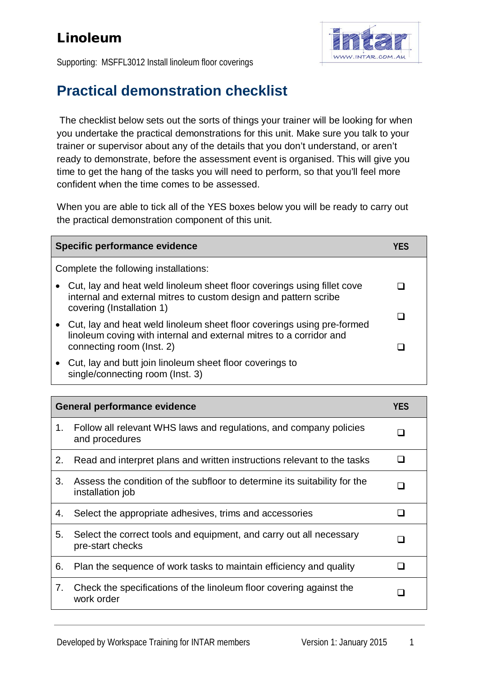## Linoleum



Supporting: MSFFL3012 Install linoleum floor coverings

## **Practical demonstration checklist**

The checklist below sets out the sorts of things your trainer will be looking for when you undertake the practical demonstrations for this unit. Make sure you talk to your trainer or supervisor about any of the details that you don't understand, or aren't ready to demonstrate, before the assessment event is organised. This will give you time to get the hang of the tasks you will need to perform, so that you'll feel more confident when the time comes to be assessed.

When you are able to tick all of the YES boxes below you will be ready to carry out the practical demonstration component of this unit.

| Specific performance evidence         |                                                                                                                                                                            | YFS |
|---------------------------------------|----------------------------------------------------------------------------------------------------------------------------------------------------------------------------|-----|
| Complete the following installations: |                                                                                                                                                                            |     |
|                                       | Cut, lay and heat weld linoleum sheet floor coverings using fillet cove<br>internal and external mitres to custom design and pattern scribe<br>covering (Installation 1)   |     |
|                                       | Cut, lay and heat weld linoleum sheet floor coverings using pre-formed<br>linoleum coving with internal and external mitres to a corridor and<br>connecting room (lnst. 2) |     |
|                                       | Cut, lay and butt join linoleum sheet floor coverings to<br>single/connecting room (lnst. 3)                                                                               |     |

| <b>General performance evidence</b> |                                                                                               | <b>YES</b>   |
|-------------------------------------|-----------------------------------------------------------------------------------------------|--------------|
| 1.                                  | Follow all relevant WHS laws and regulations, and company policies<br>and procedures          |              |
| 2.                                  | Read and interpret plans and written instructions relevant to the tasks                       | $\mathbf{I}$ |
| 3.                                  | Assess the condition of the subfloor to determine its suitability for the<br>installation job |              |
| 4.                                  | Select the appropriate adhesives, trims and accessories                                       |              |
| 5.                                  | Select the correct tools and equipment, and carry out all necessary<br>pre-start checks       |              |
| 6.                                  | Plan the sequence of work tasks to maintain efficiency and quality                            |              |
| 7.                                  | Check the specifications of the linoleum floor covering against the<br>work order             |              |